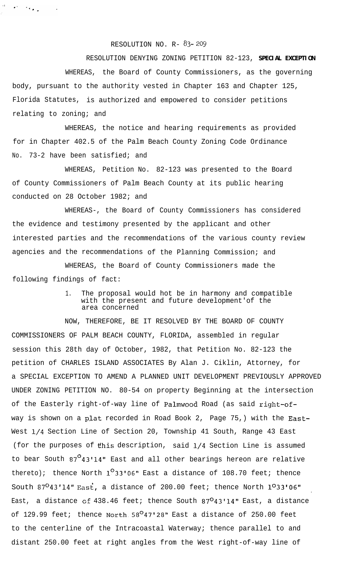## RESOLUTION NO.  $R - 83 - 209$

 $\sigma^2 = 1.6\,\mu_{\rm B}$ 

RESOLUTION DENYING ZONING PETITION 82-123, **SPECIAL EXCEPTION**

WHEREAS, the Board of County Commissioners, as the governing body, pursuant to the authority vested in Chapter 163 and Chapter 125, Florida Statutes, is authorized and empowered to consider petitions relating to zoning; and

WHEREAS, the notice and hearing requirements as provided for in Chapter 402.5 of the Palm Beach County Zoning Code Ordinance No. 73-2 have been satisfied; and

WHEREAS, Petition No. 82-123 was presented to the Board of County Commissioners of Palm Beach County at its public hearing conducted on 28 October 1982; and

WHEREAS-, the Board of County Commissioners has considered the evidence and testimony presented by the applicant and other interested parties and the recommendations of the various county review agencies and the recommendations of the Planning Commission; and

WHEREAS, the Board of County Commissioners made the following findings of fact:

> 1. The proposal would hot be in harmony and compatible with the present and future development'of the area concerned

NOW, THEREFORE, BE IT RESOLVED BY THE BOARD OF COUNTY COMMISSIONERS OF PALM BEACH COUNTY, FLORIDA, assembled in regular session this 28th day of October, 1982, that Petition No. 82-123 the petition of CHARLES ISLAND ASSOCIATES By Alan J. Ciklin, Attorney, for a SPECIAL EXCEPTION TO AMEND A PLANNED UNIT DEVELOPMENT PREVIOUSLY APPROVED UNDER ZONING PETITION NO. 80-54 on property Beginning at the intersection of the Easterly right-of-way line of Palmwood Road (as said right-ofway is shown on a plat recorded in Road Book 2, Page 75,) with the East-West l/4 Section Line of Section 20, Township 41 South, Range 43 East (for the purposes of this description, said  $1/4$  Section Line is assumed to bear South 87<sup>0</sup>43'14" East and all other bearings hereon are relative thereto); thence North  $1^{\circ}33'06''$  East a distance of 108.70 feet; thence South  $87^O43'14''$  East, a distance of 200.00 feet; thence North  $1^O33'06''$ . East, a distance of 438.46 feet; thence South 87<sup>0</sup>43'14" East, a distance of 129.99 feet; thence North  $58^{\circ}47'28''$  East a distance of 250.00 feet to the centerline of the Intracoastal Waterway; thence parallel to and distant 250.00 feet at right angles from the West right-of-way line of